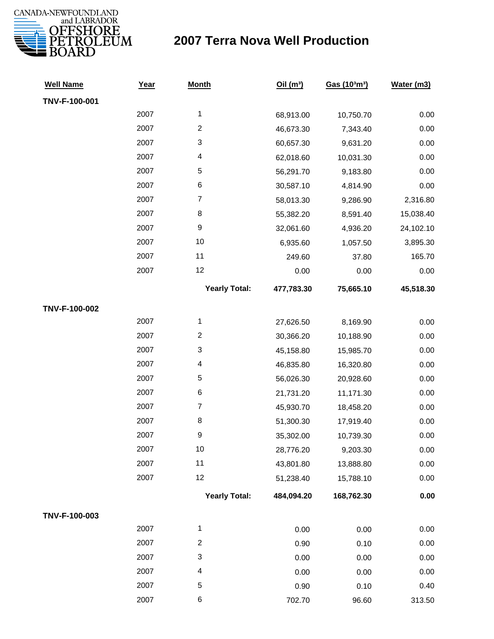

| <b>Well Name</b> | Year | <b>Month</b>             | Oil $(m^3)$ | Gas (103m3) | Water (m3) |
|------------------|------|--------------------------|-------------|-------------|------------|
| TNV-F-100-001    |      |                          |             |             |            |
|                  | 2007 | $\mathbf{1}$             | 68,913.00   | 10,750.70   | 0.00       |
|                  | 2007 | $\overline{c}$           | 46,673.30   | 7,343.40    | 0.00       |
|                  | 2007 | 3                        | 60,657.30   | 9,631.20    | 0.00       |
|                  | 2007 | 4                        | 62,018.60   | 10,031.30   | 0.00       |
|                  | 2007 | $\mathbf 5$              | 56,291.70   | 9,183.80    | 0.00       |
|                  | 2007 | 6                        | 30,587.10   | 4,814.90    | 0.00       |
|                  | 2007 | $\overline{7}$           | 58,013.30   | 9,286.90    | 2,316.80   |
|                  | 2007 | 8                        | 55,382.20   | 8,591.40    | 15,038.40  |
|                  | 2007 | 9                        | 32,061.60   | 4,936.20    | 24,102.10  |
|                  | 2007 | $10$                     | 6,935.60    | 1,057.50    | 3,895.30   |
|                  | 2007 | 11                       | 249.60      | 37.80       | 165.70     |
|                  | 2007 | 12                       | 0.00        | 0.00        | 0.00       |
|                  |      | <b>Yearly Total:</b>     | 477,783.30  | 75,665.10   | 45,518.30  |
| TNV-F-100-002    |      |                          |             |             |            |
|                  | 2007 | $\mathbf{1}$             | 27,626.50   | 8,169.90    | 0.00       |
|                  | 2007 | $\overline{c}$           | 30,366.20   | 10,188.90   | 0.00       |
|                  | 2007 | 3                        | 45,158.80   | 15,985.70   | 0.00       |
|                  | 2007 | $\overline{\mathcal{A}}$ | 46,835.80   | 16,320.80   | 0.00       |
|                  | 2007 | 5                        | 56,026.30   | 20,928.60   | 0.00       |
|                  | 2007 | 6                        | 21,731.20   | 11,171.30   | 0.00       |
|                  | 2007 | $\overline{7}$           | 45,930.70   | 18,458.20   | 0.00       |
|                  | 2007 | 8                        | 51,300.30   | 17,919.40   | 0.00       |
|                  | 2007 | 9                        | 35,302.00   | 10,739.30   | 0.00       |
|                  | 2007 | $10$                     | 28,776.20   | 9,203.30    | 0.00       |
|                  | 2007 | 11                       | 43,801.80   | 13,888.80   | 0.00       |
|                  | 2007 | 12                       | 51,238.40   | 15,788.10   | 0.00       |
|                  |      | <b>Yearly Total:</b>     | 484,094.20  | 168,762.30  | 0.00       |
| TNV-F-100-003    |      |                          |             |             |            |
|                  | 2007 | $\mathbf{1}$             | 0.00        | 0.00        | 0.00       |
|                  | 2007 | $\overline{c}$           | 0.90        | 0.10        | 0.00       |
|                  | 2007 | 3                        | 0.00        | 0.00        | 0.00       |
|                  | 2007 | 4                        | 0.00        | 0.00        | 0.00       |
|                  | 2007 | 5                        | 0.90        | 0.10        | 0.40       |
|                  | 2007 | 6                        | 702.70      | 96.60       | 313.50     |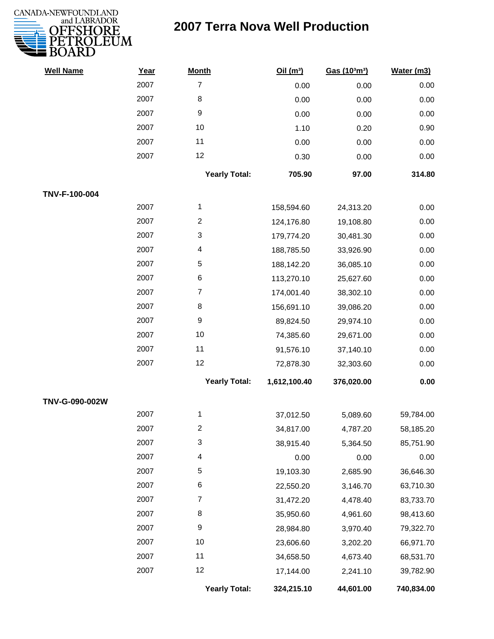

| <b>Well Name</b> | Year | <b>Month</b>            | Oil(m <sup>3</sup> ) | Gas (103m3) | Water (m3) |
|------------------|------|-------------------------|----------------------|-------------|------------|
|                  | 2007 | $\overline{7}$          | 0.00                 | 0.00        | 0.00       |
|                  | 2007 | 8                       | 0.00                 | 0.00        | 0.00       |
|                  | 2007 | 9                       | 0.00                 | 0.00        | 0.00       |
|                  | 2007 | 10                      | 1.10                 | 0.20        | 0.90       |
|                  | 2007 | 11                      | 0.00                 | 0.00        | 0.00       |
|                  | 2007 | 12                      | 0.30                 | 0.00        | 0.00       |
|                  |      | <b>Yearly Total:</b>    | 705.90               | 97.00       | 314.80     |
| TNV-F-100-004    |      |                         |                      |             |            |
|                  | 2007 | 1                       | 158,594.60           | 24,313.20   | 0.00       |
|                  | 2007 | $\overline{\mathbf{c}}$ | 124,176.80           | 19,108.80   | 0.00       |
|                  | 2007 | 3                       | 179,774.20           | 30,481.30   | 0.00       |
|                  | 2007 | 4                       | 188,785.50           | 33,926.90   | 0.00       |
|                  | 2007 | 5                       | 188,142.20           | 36,085.10   | 0.00       |
|                  | 2007 | 6                       | 113,270.10           | 25,627.60   | 0.00       |
|                  | 2007 | $\overline{7}$          | 174,001.40           | 38,302.10   | 0.00       |
|                  | 2007 | 8                       | 156,691.10           | 39,086.20   | 0.00       |
|                  | 2007 | 9                       | 89,824.50            | 29,974.10   | 0.00       |
|                  | 2007 | 10                      | 74,385.60            | 29,671.00   | 0.00       |
|                  | 2007 | 11                      | 91,576.10            | 37,140.10   | 0.00       |
|                  | 2007 | 12                      | 72,878.30            | 32,303.60   | 0.00       |
|                  |      | <b>Yearly Total:</b>    | 1,612,100.40         | 376,020.00  | 0.00       |
| TNV-G-090-002W   |      |                         |                      |             |            |
|                  | 2007 | 1                       | 37,012.50            | 5,089.60    | 59,784.00  |
|                  | 2007 | 2                       | 34,817.00            | 4,787.20    | 58,185.20  |
|                  | 2007 | 3                       | 38,915.40            | 5,364.50    | 85,751.90  |
|                  | 2007 | 4                       | 0.00                 | 0.00        | 0.00       |
|                  | 2007 | 5                       | 19,103.30            | 2,685.90    | 36,646.30  |
|                  | 2007 | 6                       | 22,550.20            | 3,146.70    | 63,710.30  |
|                  | 2007 | 7                       | 31,472.20            | 4,478.40    | 83,733.70  |
|                  | 2007 | 8                       | 35,950.60            | 4,961.60    | 98,413.60  |
|                  | 2007 | 9                       | 28,984.80            | 3,970.40    | 79,322.70  |
|                  | 2007 | 10                      | 23,606.60            | 3,202.20    | 66,971.70  |
|                  | 2007 | 11                      | 34,658.50            | 4,673.40    | 68,531.70  |
|                  | 2007 | 12                      | 17,144.00            | 2,241.10    | 39,782.90  |
|                  |      | <b>Yearly Total:</b>    | 324,215.10           | 44,601.00   | 740,834.00 |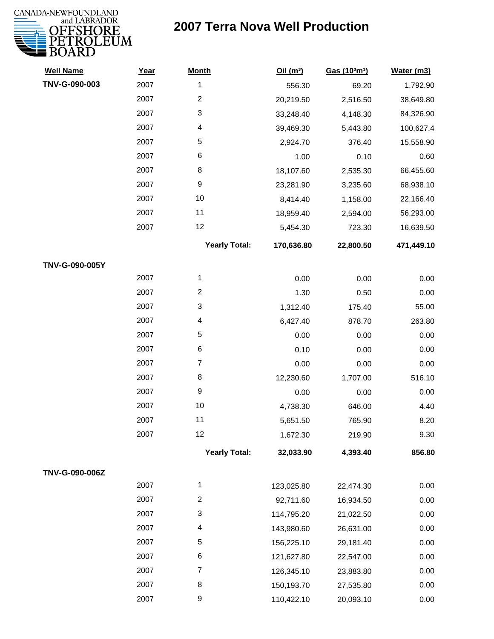

| <b>Well Name</b> | Year | <b>Month</b>            | Oil(m <sup>3</sup> ) | Gas (103m3) | Water (m3) |
|------------------|------|-------------------------|----------------------|-------------|------------|
| TNV-G-090-003    | 2007 | 1                       | 556.30               | 69.20       | 1,792.90   |
|                  | 2007 | $\overline{2}$          | 20,219.50            | 2,516.50    | 38,649.80  |
|                  | 2007 | 3                       | 33,248.40            | 4,148.30    | 84,326.90  |
|                  | 2007 | 4                       | 39,469.30            | 5,443.80    | 100,627.4  |
|                  | 2007 | $\sqrt{5}$              | 2,924.70             | 376.40      | 15,558.90  |
|                  | 2007 | 6                       | 1.00                 | 0.10        | 0.60       |
|                  | 2007 | $\,8\,$                 | 18,107.60            | 2,535.30    | 66,455.60  |
|                  | 2007 | $\boldsymbol{9}$        | 23,281.90            | 3,235.60    | 68,938.10  |
|                  | 2007 | 10                      | 8,414.40             | 1,158.00    | 22,166.40  |
|                  | 2007 | 11                      | 18,959.40            | 2,594.00    | 56,293.00  |
|                  | 2007 | 12                      | 5,454.30             | 723.30      | 16,639.50  |
|                  |      | <b>Yearly Total:</b>    | 170,636.80           | 22,800.50   | 471,449.10 |
| TNV-G-090-005Y   |      |                         |                      |             |            |
|                  | 2007 | 1                       | 0.00                 | 0.00        | 0.00       |
|                  | 2007 | 2                       | 1.30                 | 0.50        | 0.00       |
|                  | 2007 | 3                       | 1,312.40             | 175.40      | 55.00      |
|                  | 2007 | $\overline{\mathbf{4}}$ | 6,427.40             | 878.70      | 263.80     |
|                  | 2007 | $\sqrt{5}$              | 0.00                 | 0.00        | 0.00       |
|                  | 2007 | $\,6$                   | 0.10                 | 0.00        | 0.00       |
|                  | 2007 | $\overline{7}$          | 0.00                 | 0.00        | 0.00       |
|                  | 2007 | $\,8\,$                 | 12,230.60            | 1,707.00    | 516.10     |
|                  | 2007 | $\boldsymbol{9}$        | 0.00                 | 0.00        | 0.00       |
|                  | 2007 | 10                      | 4,738.30             | 646.00      | 4.40       |
|                  | 2007 | 11                      | 5,651.50             | 765.90      | 8.20       |
|                  | 2007 | 12                      | 1,672.30             | 219.90      | 9.30       |
|                  |      | <b>Yearly Total:</b>    | 32,033.90            | 4,393.40    | 856.80     |
| TNV-G-090-006Z   |      |                         |                      |             |            |
|                  | 2007 | 1                       | 123,025.80           | 22,474.30   | 0.00       |
|                  | 2007 | $\overline{2}$          | 92,711.60            | 16,934.50   | 0.00       |
|                  | 2007 | 3                       | 114,795.20           | 21,022.50   | 0.00       |
|                  | 2007 | 4                       | 143,980.60           | 26,631.00   | 0.00       |
|                  | 2007 | $\sqrt{5}$              | 156,225.10           | 29,181.40   | 0.00       |
|                  | 2007 | 6                       | 121,627.80           | 22,547.00   | 0.00       |
|                  | 2007 | $\overline{7}$          | 126,345.10           | 23,883.80   | 0.00       |
|                  | 2007 | 8                       | 150,193.70           | 27,535.80   | 0.00       |
|                  | 2007 | $\boldsymbol{9}$        | 110,422.10           | 20,093.10   | 0.00       |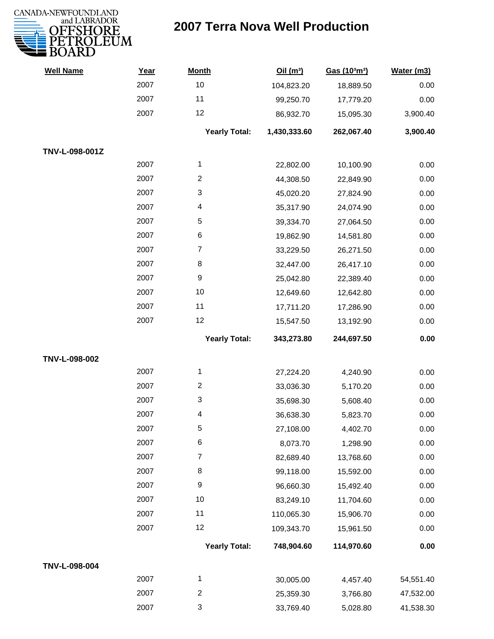

| <b>Well Name</b> | Year | <b>Month</b>         | Oil(m <sup>3</sup> ) | Gas (103m3) | Water (m3) |
|------------------|------|----------------------|----------------------|-------------|------------|
|                  | 2007 | 10                   | 104,823.20           | 18,889.50   | 0.00       |
|                  | 2007 | 11                   | 99,250.70            | 17,779.20   | 0.00       |
|                  | 2007 | 12                   | 86,932.70            | 15,095.30   | 3,900.40   |
|                  |      | <b>Yearly Total:</b> | 1,430,333.60         | 262,067.40  | 3,900.40   |
| TNV-L-098-001Z   |      |                      |                      |             |            |
|                  | 2007 | 1                    | 22,802.00            | 10,100.90   | 0.00       |
|                  | 2007 | $\overline{c}$       | 44,308.50            | 22,849.90   | 0.00       |
|                  | 2007 | 3                    | 45,020.20            | 27,824.90   | 0.00       |
|                  | 2007 | 4                    | 35,317.90            | 24,074.90   | 0.00       |
|                  | 2007 | 5                    | 39,334.70            | 27,064.50   | 0.00       |
|                  | 2007 | 6                    | 19,862.90            | 14,581.80   | 0.00       |
|                  | 2007 | $\overline{7}$       | 33,229.50            | 26,271.50   | 0.00       |
|                  | 2007 | 8                    | 32,447.00            | 26,417.10   | 0.00       |
|                  | 2007 | 9                    | 25,042.80            | 22,389.40   | 0.00       |
|                  | 2007 | 10                   | 12,649.60            | 12,642.80   | 0.00       |
|                  | 2007 | 11                   | 17,711.20            | 17,286.90   | 0.00       |
|                  | 2007 | 12                   | 15,547.50            | 13,192.90   | 0.00       |
|                  |      | <b>Yearly Total:</b> | 343,273.80           | 244,697.50  | 0.00       |
| TNV-L-098-002    |      |                      |                      |             |            |
|                  | 2007 | 1                    | 27,224.20            | 4,240.90    | 0.00       |
|                  | 2007 | $\overline{c}$       | 33,036.30            | 5,170.20    | 0.00       |
|                  | 2007 | 3                    | 35,698.30            | 5,608.40    | 0.00       |
|                  | 2007 | 4                    | 36,638.30            | 5,823.70    | 0.00       |
|                  | 2007 | 5                    | 27,108.00            | 4,402.70    | 0.00       |
|                  | 2007 | 6                    | 8,073.70             | 1,298.90    | 0.00       |
|                  | 2007 | $\overline{7}$       | 82,689.40            | 13,768.60   | 0.00       |
|                  | 2007 | 8                    | 99,118.00            | 15,592.00   | 0.00       |
|                  | 2007 | $\boldsymbol{9}$     | 96,660.30            | 15,492.40   | 0.00       |
|                  | 2007 | 10                   | 83,249.10            | 11,704.60   | 0.00       |
|                  | 2007 | 11                   | 110,065.30           | 15,906.70   | 0.00       |
|                  | 2007 | 12                   | 109,343.70           | 15,961.50   | 0.00       |
|                  |      | <b>Yearly Total:</b> | 748,904.60           | 114,970.60  | 0.00       |
| TNV-L-098-004    |      |                      |                      |             |            |
|                  | 2007 | 1                    | 30,005.00            | 4,457.40    | 54,551.40  |
|                  | 2007 | $\overline{c}$       | 25,359.30            | 3,766.80    | 47,532.00  |
|                  | 2007 | 3                    | 33,769.40            | 5,028.80    | 41,538.30  |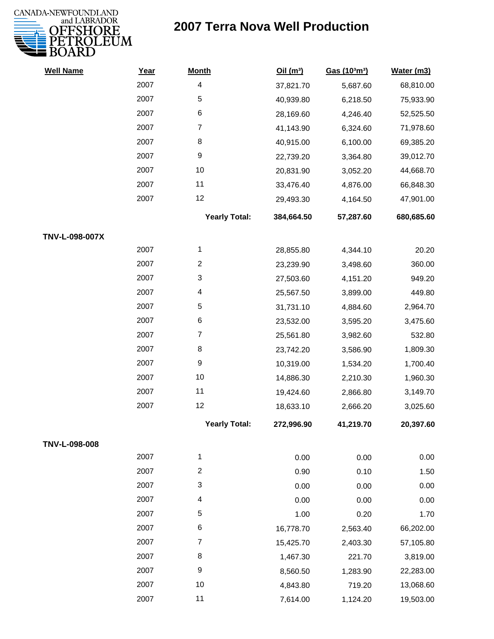

| <b>Well Name</b> | Year | <b>Month</b>             | Oil $(m^3)$ | Gas (103m3) | Water (m3) |
|------------------|------|--------------------------|-------------|-------------|------------|
|                  | 2007 | $\overline{\mathcal{A}}$ | 37,821.70   | 5,687.60    | 68,810.00  |
|                  | 2007 | 5                        | 40,939.80   | 6,218.50    | 75,933.90  |
|                  | 2007 | 6                        | 28,169.60   | 4,246.40    | 52,525.50  |
|                  | 2007 | $\overline{7}$           | 41,143.90   | 6,324.60    | 71,978.60  |
|                  | 2007 | 8                        | 40,915.00   | 6,100.00    | 69,385.20  |
|                  | 2007 | $\boldsymbol{9}$         | 22,739.20   | 3,364.80    | 39,012.70  |
|                  | 2007 | 10                       | 20,831.90   | 3,052.20    | 44,668.70  |
|                  | 2007 | 11                       | 33,476.40   | 4,876.00    | 66,848.30  |
|                  | 2007 | 12                       | 29,493.30   | 4,164.50    | 47,901.00  |
|                  |      | <b>Yearly Total:</b>     | 384,664.50  | 57,287.60   | 680,685.60 |
| TNV-L-098-007X   |      |                          |             |             |            |
|                  | 2007 | 1                        | 28,855.80   | 4,344.10    | 20.20      |
|                  | 2007 | $\overline{c}$           | 23,239.90   | 3,498.60    | 360.00     |
|                  | 2007 | 3                        | 27,503.60   | 4,151.20    | 949.20     |
|                  | 2007 | 4                        | 25,567.50   | 3,899.00    | 449.80     |
|                  | 2007 | 5                        | 31,731.10   | 4,884.60    | 2,964.70   |
|                  | 2007 | 6                        | 23,532.00   | 3,595.20    | 3,475.60   |
|                  | 2007 | $\overline{7}$           | 25,561.80   | 3,982.60    | 532.80     |
|                  | 2007 | 8                        | 23,742.20   | 3,586.90    | 1,809.30   |
|                  | 2007 | 9                        | 10,319.00   | 1,534.20    | 1,700.40   |
|                  | 2007 | 10                       | 14,886.30   | 2,210.30    | 1,960.30   |
|                  | 2007 | 11                       | 19,424.60   | 2,866.80    | 3,149.70   |
|                  | 2007 | 12                       | 18,633.10   | 2,666.20    | 3,025.60   |
|                  |      | <b>Yearly Total:</b>     | 272,996.90  | 41,219.70   | 20,397.60  |
| TNV-L-098-008    |      |                          |             |             |            |
|                  | 2007 | 1                        | 0.00        | 0.00        | 0.00       |
|                  | 2007 | $\overline{c}$           | 0.90        | 0.10        | 1.50       |
|                  | 2007 | 3                        | 0.00        | 0.00        | 0.00       |
|                  | 2007 | 4                        | 0.00        | 0.00        | 0.00       |
|                  | 2007 | 5                        | 1.00        | 0.20        | 1.70       |
|                  | 2007 | 6                        | 16,778.70   | 2,563.40    | 66,202.00  |
|                  | 2007 | $\overline{7}$           | 15,425.70   | 2,403.30    | 57,105.80  |
|                  | 2007 | 8                        | 1,467.30    | 221.70      | 3,819.00   |
|                  | 2007 | 9                        | 8,560.50    | 1,283.90    | 22,283.00  |
|                  | 2007 | 10                       | 4,843.80    | 719.20      | 13,068.60  |
|                  | 2007 | 11                       | 7,614.00    | 1,124.20    | 19,503.00  |